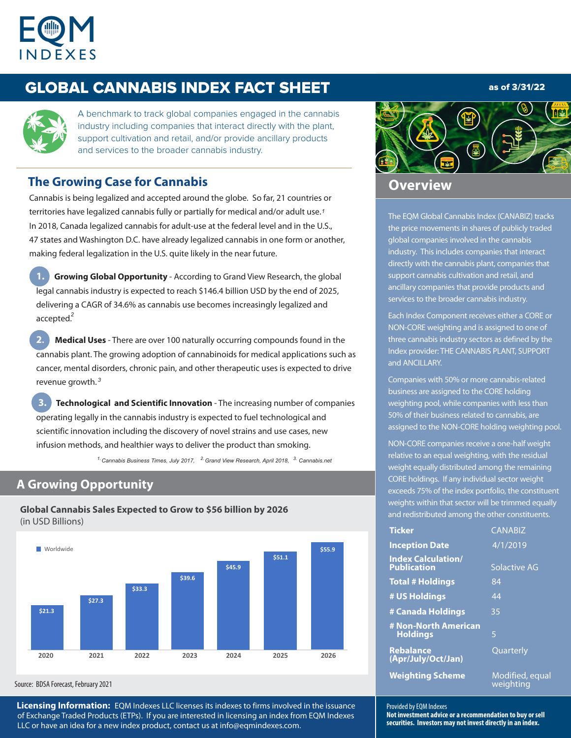

# GLOBAL CANNABIS INDEX FACT SHEET

## as of 3/31/22



A benchmark to track global companies engaged in the cannabis industry including companies that interact directly with the plant, support cultivation and retail, and/or provide ancillary products and services to the broader cannabis industry.

## **The Growing Case for Cannabis**

Cannabis is being legalized and accepted around the globe. So far, 21 countries or territories have legalized cannabis fully or partially for medical and/or adult use. *1* In 2018, Canada legalized cannabis for adult-use at the federal level and in the U.S., 47 states and Washington D.C. have already legalized cannabis in one form or another, making federal legalization in the U.S. quite likely in the near future.

**Growing Global Opportunity** - According to Grand View Research, the global legal cannabis industry is expected to reach \$146.4 billion USD by the end of 2025, delivering a CAGR of 34.6% as cannabis use becomes increasingly legalized and accepted. *2*

**2. Medical Uses** - There are over 100 naturally occurring compounds found in the cannabis plant. The growing adoption of cannabinoids for medical applications such as cancer, mental disorders, chronic pain, and other therapeutic uses is expected to drive revenue growth.  *3*

**3. Technological and Scientific Innovation** - The increasing number of companies operating legally in the cannabis industry is expected to fuel technological and scientific innovation including the discovery of novel strains and use cases, new infusion methods, and healthier ways to deliver the product than smoking.

*1. 2. 3. Cannabis Business T imes, July 2017, Grand View Research, April 2018, Cannabis.net*

## **A Growing Opportunity**

**Global Cannabis Sales Expected to Grow to \$56 billion by 2026**  (in USD Billions)



Source: BDSA Forecast, February 2021

**Licensing Information:** EQM Indexes LLC licenses its indexes to firms involved in the issuance of Exchange Traded Products (ETPs). If you are interested in licensing an index from EQM Indexes LLC or have an idea for a new index product, contact us at info@eqmindexes.com.



## **Overview**

The EQM Global Cannabis Index (CANABIZ) tracks the price movements in shares of publicly traded global companies involved in the cannabis industry. This includes companies that interact directly with the cannabis plant, companies that support cannabis cultivation and retail, and ancillary companies that provide products and services to the broader cannabis industry.

Each Index Component receives either a CORE or NON-CORE weighting and is assigned to one of three cannabis industry sectors as defined by the Index provider: THE CANNABIS PLANT, SUPPORT and ANCILLARY.

Companies with 50% or more cannabis-related business are assigned to the CORE holding weighting pool, while companies with less than 50% of their business related to cannabis, are assigned to the NON-CORE holding weighting pool.

NON-CORE companies receive a one-half weight relative to an equal weighting, with the residual weight equally distributed among the remaining CORE holdings. If any individual sector weight exceeds 75% of the index portfolio, the constituent weights within that sector will be trimmed equally and redistributed among the other constituents.

| <b>Ticker</b>                                   | <b>CANABIZ</b>               |
|-------------------------------------------------|------------------------------|
| <b>Inception Date</b>                           | $\frac{4}{1/2019}$           |
| <b>Index Calculation/</b><br><b>Publication</b> | <b>Solactive AG</b>          |
| <b>Total # Holdings</b>                         | 84                           |
| # US Holdings                                   | 44                           |
| # Canada Holdings                               | 35                           |
| # Non-North American<br><b>Holdings</b>         | 5                            |
| <b>Rebalance</b><br>(Apr/July/Oct/Jan)          | Quarterly                    |
| <b>Weighting Scheme</b>                         | Modified, equal<br>weighting |

#### Provided by EQM Indexes

**Not investment advice or a recommendation to buy or sell securities. Investors may not invest directly in an index.**